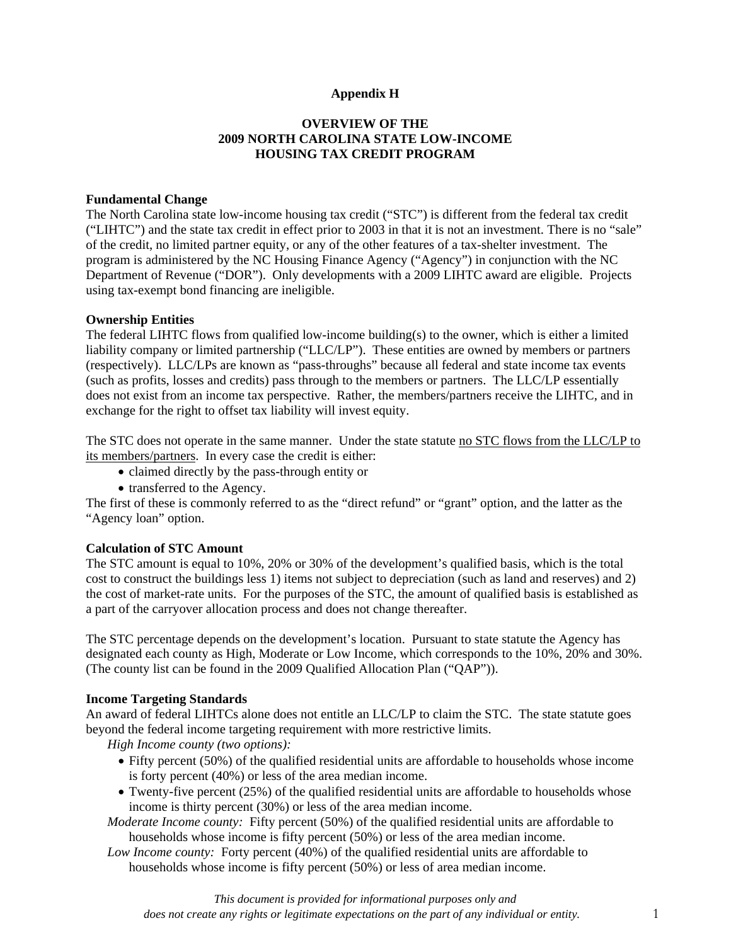## **Appendix H**

# **OVERVIEW OF THE 2009 NORTH CAROLINA STATE LOW-INCOME HOUSING TAX CREDIT PROGRAM**

#### **Fundamental Change**

The North Carolina state low-income housing tax credit ("STC") is different from the federal tax credit ("LIHTC") and the state tax credit in effect prior to 2003 in that it is not an investment. There is no "sale" of the credit, no limited partner equity, or any of the other features of a tax-shelter investment. The program is administered by the NC Housing Finance Agency ("Agency") in conjunction with the NC Department of Revenue ("DOR"). Only developments with a 2009 LIHTC award are eligible. Projects using tax-exempt bond financing are ineligible.

#### **Ownership Entities**

The federal LIHTC flows from qualified low-income building(s) to the owner, which is either a limited liability company or limited partnership ("LLC/LP"). These entities are owned by members or partners (respectively). LLC/LPs are known as "pass-throughs" because all federal and state income tax events (such as profits, losses and credits) pass through to the members or partners. The LLC/LP essentially does not exist from an income tax perspective. Rather, the members/partners receive the LIHTC, and in exchange for the right to offset tax liability will invest equity.

The STC does not operate in the same manner. Under the state statute no STC flows from the LLC/LP to its members/partners. In every case the credit is either:

- claimed directly by the pass-through entity or
- transferred to the Agency.

The first of these is commonly referred to as the "direct refund" or "grant" option, and the latter as the "Agency loan" option.

#### **Calculation of STC Amount**

The STC amount is equal to 10%, 20% or 30% of the development's qualified basis, which is the total cost to construct the buildings less 1) items not subject to depreciation (such as land and reserves) and 2) the cost of market-rate units. For the purposes of the STC, the amount of qualified basis is established as a part of the carryover allocation process and does not change thereafter.

The STC percentage depends on the development's location. Pursuant to state statute the Agency has designated each county as High, Moderate or Low Income, which corresponds to the 10%, 20% and 30%. (The county list can be found in the 2009 Qualified Allocation Plan ("QAP")).

#### **Income Targeting Standards**

An award of federal LIHTCs alone does not entitle an LLC/LP to claim the STC. The state statute goes beyond the federal income targeting requirement with more restrictive limits.

*High Income county (two options):* 

- Fifty percent (50%) of the qualified residential units are affordable to households whose income is forty percent (40%) or less of the area median income.
- Twenty-five percent (25%) of the qualified residential units are affordable to households whose income is thirty percent (30%) or less of the area median income.

*Moderate Income county:* Fifty percent (50%) of the qualified residential units are affordable to households whose income is fifty percent (50%) or less of the area median income.

*Low Income county:* Forty percent (40%) of the qualified residential units are affordable to households whose income is fifty percent (50%) or less of area median income.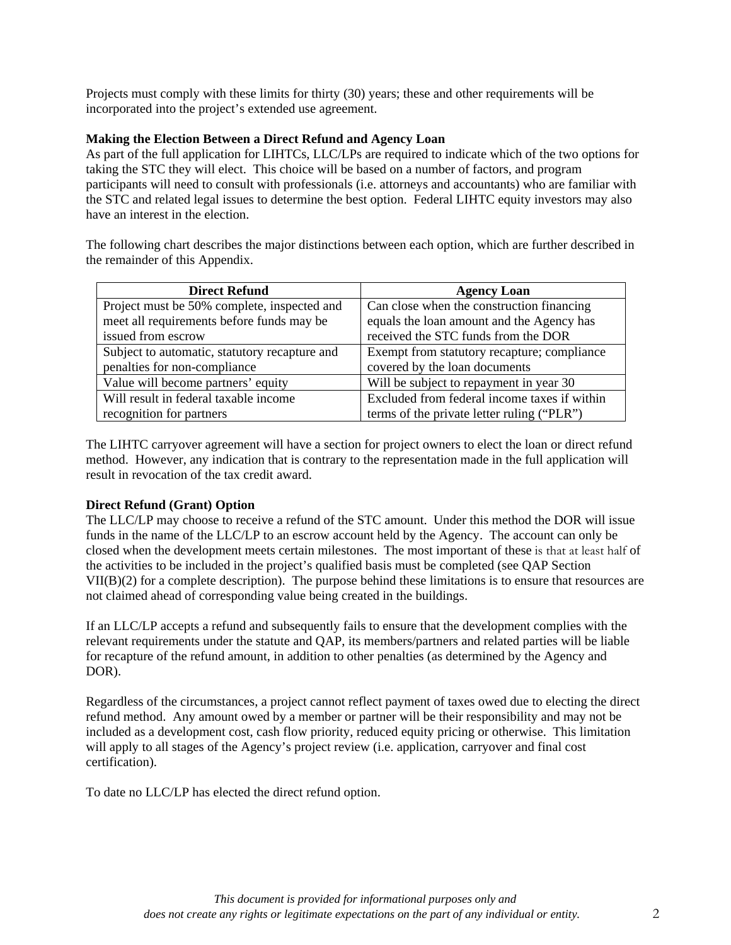Projects must comply with these limits for thirty (30) years; these and other requirements will be incorporated into the project's extended use agreement.

## **Making the Election Between a Direct Refund and Agency Loan**

As part of the full application for LIHTCs, LLC/LPs are required to indicate which of the two options for taking the STC they will elect. This choice will be based on a number of factors, and program participants will need to consult with professionals (i.e. attorneys and accountants) who are familiar with the STC and related legal issues to determine the best option. Federal LIHTC equity investors may also have an interest in the election.

The following chart describes the major distinctions between each option, which are further described in the remainder of this Appendix.

| <b>Direct Refund</b>                          | <b>Agency Loan</b>                           |
|-----------------------------------------------|----------------------------------------------|
| Project must be 50% complete, inspected and   | Can close when the construction financing    |
| meet all requirements before funds may be     | equals the loan amount and the Agency has    |
| issued from escrow                            | received the STC funds from the DOR          |
| Subject to automatic, statutory recapture and | Exempt from statutory recapture; compliance  |
| penalties for non-compliance                  | covered by the loan documents                |
| Value will become partners' equity            | Will be subject to repayment in year 30      |
| Will result in federal taxable income         | Excluded from federal income taxes if within |
| recognition for partners                      | terms of the private letter ruling ("PLR")   |

The LIHTC carryover agreement will have a section for project owners to elect the loan or direct refund method. However, any indication that is contrary to the representation made in the full application will result in revocation of the tax credit award.

## **Direct Refund (Grant) Option**

The LLC/LP may choose to receive a refund of the STC amount. Under this method the DOR will issue funds in the name of the LLC/LP to an escrow account held by the Agency. The account can only be closed when the development meets certain milestones. The most important of these is that at least half of the activities to be included in the project's qualified basis must be completed (see QAP Section VII(B)(2) for a complete description). The purpose behind these limitations is to ensure that resources are not claimed ahead of corresponding value being created in the buildings.

If an LLC/LP accepts a refund and subsequently fails to ensure that the development complies with the relevant requirements under the statute and QAP, its members/partners and related parties will be liable for recapture of the refund amount, in addition to other penalties (as determined by the Agency and DOR).

Regardless of the circumstances, a project cannot reflect payment of taxes owed due to electing the direct refund method. Any amount owed by a member or partner will be their responsibility and may not be included as a development cost, cash flow priority, reduced equity pricing or otherwise. This limitation will apply to all stages of the Agency's project review (i.e. application, carryover and final cost certification).

To date no LLC/LP has elected the direct refund option.